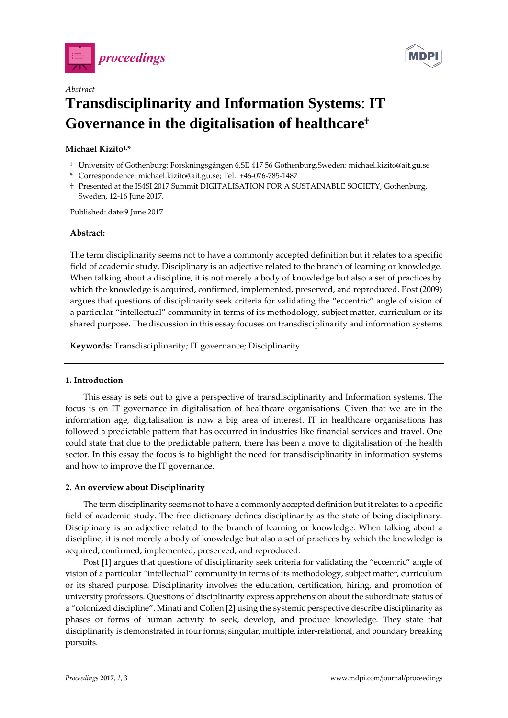



# *Abstract* **Transdisciplinarity and Information Systems**: **IT Governance in the digitalisation of healthcare†**

# **Michael Kizito1,\***

- <sup>1</sup> University of Gothenburg; Forskningsgången 6,SE 417 56 Gothenburg,Sweden; michael.kizito@ait.gu.se
- **\*** Correspondence: michael.kizito@ait.gu.se; Tel.: +46-076-785-1487
- † Presented at the IS4SI 2017 Summit DIGITALISATION FOR A SUSTAINABLE SOCIETY, Gothenburg, Sweden, 12-16 June 2017.

Published: date:9 June 2017

#### **Abstract:**

The term disciplinarity seems not to have a commonly accepted definition but it relates to a specific field of academic study. Disciplinary is an adjective related to the branch of learning or knowledge. When talking about a discipline, it is not merely a body of knowledge but also a set of practices by which the knowledge is acquired, confirmed, implemented, preserved, and reproduced. Post (2009) argues that questions of disciplinarity seek criteria for validating the "eccentric" angle of vision of a particular "intellectual" community in terms of its methodology, subject matter, curriculum or its shared purpose. The discussion in this essay focuses on transdisciplinarity and information systems

**Keywords:** Transdisciplinarity; IT governance; Disciplinarity

## **1. Introduction**

This essay is sets out to give a perspective of transdisciplinarity and Information systems. The focus is on IT governance in digitalisation of healthcare organisations. Given that we are in the information age, digitalisation is now a big area of interest. IT in healthcare organisations has followed a predictable pattern that has occurred in industries like financial services and travel. One could state that due to the predictable pattern, there has been a move to digitalisation of the health sector. In this essay the focus is to highlight the need for transdisciplinarity in information systems and how to improve the IT governance.

## **2. An overview about Disciplinarity**

The term disciplinarity seems not to have a commonly accepted definition but it relates to a specific field of academic study. The free dictionary defines disciplinarity as the state of being disciplinary. Disciplinary is an adjective related to the branch of learning or knowledge. When talking about a discipline, it is not merely a body of knowledge but also a set of practices by which the knowledge is acquired, confirmed, implemented, preserved, and reproduced.

Post [1] argues that questions of disciplinarity seek criteria for validating the "eccentric" angle of vision of a particular "intellectual" community in terms of its methodology, subject matter, curriculum or its shared purpose. Disciplinarity involves the education, certification, hiring, and promotion of university professors. Questions of disciplinarity express apprehension about the subordinate status of a "colonized discipline". Minati and Collen [2] using the systemic perspective describe disciplinarity as phases or forms of human activity to seek, develop, and produce knowledge. They state that disciplinarity is demonstrated in four forms; singular, multiple, inter-relational, and boundary breaking pursuits.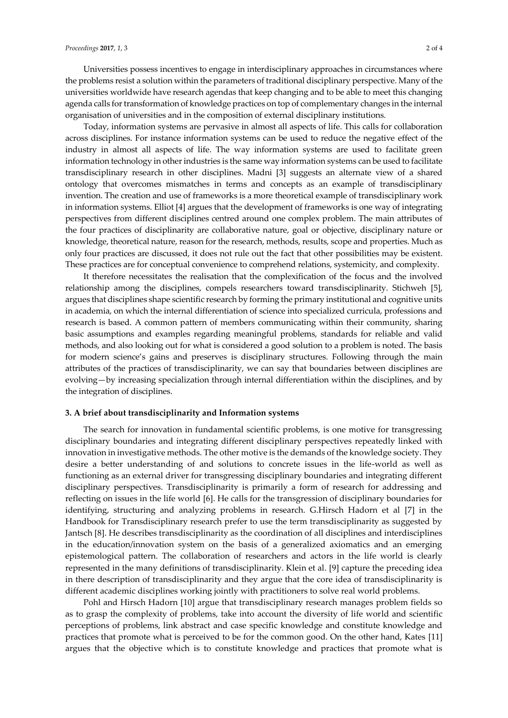Universities possess incentives to engage in interdisciplinary approaches in circumstances where the problems resist a solution within the parameters of traditional disciplinary perspective. Many of the universities worldwide have research agendas that keep changing and to be able to meet this changing agenda calls for transformation of knowledge practices on top of complementary changes in the internal organisation of universities and in the composition of external disciplinary institutions.

Today, information systems are pervasive in almost all aspects of life. This calls for collaboration across disciplines. For instance information systems can be used to reduce the negative effect of the industry in almost all aspects of life. The way information systems are used to facilitate green information technology in other industries is the same way information systems can be used to facilitate transdisciplinary research in other disciplines. Madni [3] suggests an alternate view of a shared ontology that overcomes mismatches in terms and concepts as an example of transdisciplinary invention. The creation and use of frameworks is a more theoretical example of transdisciplinary work in information systems. Elliot [4] argues that the development of frameworks is one way of integrating perspectives from different disciplines centred around one complex problem. The main attributes of the four practices of disciplinarity are collaborative nature, goal or objective, disciplinary nature or knowledge, theoretical nature, reason for the research, methods, results, scope and properties. Much as only four practices are discussed, it does not rule out the fact that other possibilities may be existent. These practices are for conceptual convenience to comprehend relations, systemicity, and complexity.

It therefore necessitates the realisation that the complexification of the focus and the involved relationship among the disciplines, compels researchers toward transdisciplinarity. Stichweh [5], argues that disciplines shape scientific research by forming the primary institutional and cognitive units in academia, on which the internal differentiation of science into specialized curricula, professions and research is based. A common pattern of members communicating within their community, sharing basic assumptions and examples regarding meaningful problems, standards for reliable and valid methods, and also looking out for what is considered a good solution to a problem is noted. The basis for modern science's gains and preserves is disciplinary structures. Following through the main attributes of the practices of transdisciplinarity, we can say that boundaries between disciplines are evolving—by increasing specialization through internal differentiation within the disciplines, and by the integration of disciplines.

#### **3. A brief about transdisciplinarity and Information systems**

The search for innovation in fundamental scientific problems, is one motive for transgressing disciplinary boundaries and integrating different disciplinary perspectives repeatedly linked with innovation in investigative methods. The other motive is the demands of the knowledge society. They desire a better understanding of and solutions to concrete issues in the life-world as well as functioning as an external driver for transgressing disciplinary boundaries and integrating different disciplinary perspectives. Transdisciplinarity is primarily a form of research for addressing and reflecting on issues in the life world [6]. He calls for the transgression of disciplinary boundaries for identifying, structuring and analyzing problems in research. G.Hirsch Hadorn et al [7] in the Handbook for Transdisciplinary research prefer to use the term transdisciplinarity as suggested by Jantsch [8]. He describes transdisciplinarity as the coordination of all disciplines and interdisciplines in the education/innovation system on the basis of a generalized axiomatics and an emerging epistemological pattern. The collaboration of researchers and actors in the life world is clearly represented in the many definitions of transdisciplinarity. Klein et al. [9] capture the preceding idea in there description of transdisciplinarity and they argue that the core idea of transdisciplinarity is different academic disciplines working jointly with practitioners to solve real world problems.

Pohl and Hirsch Hadorn [10] argue that transdisciplinary research manages problem fields so as to grasp the complexity of problems, take into account the diversity of life world and scientific perceptions of problems, link abstract and case specific knowledge and constitute knowledge and practices that promote what is perceived to be for the common good. On the other hand, Kates [11] argues that the objective which is to constitute knowledge and practices that promote what is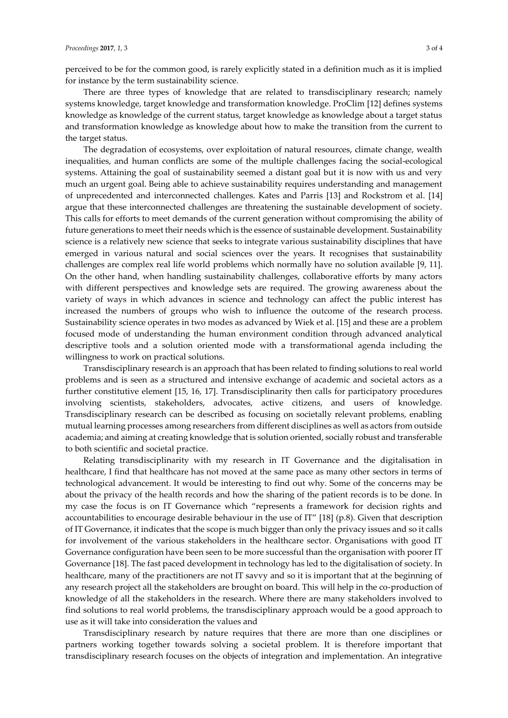perceived to be for the common good, is rarely explicitly stated in a definition much as it is implied for instance by the term sustainability science.

There are three types of knowledge that are related to transdisciplinary research; namely systems knowledge, target knowledge and transformation knowledge. ProClim [12] defines systems knowledge as knowledge of the current status, target knowledge as knowledge about a target status and transformation knowledge as knowledge about how to make the transition from the current to the target status.

The degradation of ecosystems, over exploitation of natural resources, climate change, wealth inequalities, and human conflicts are some of the multiple challenges facing the social-ecological systems. Attaining the goal of sustainability seemed a distant goal but it is now with us and very much an urgent goal. Being able to achieve sustainability requires understanding and management of unprecedented and interconnected challenges. Kates and Parris [13] and Rockstrom et al. [14] argue that these interconnected challenges are threatening the sustainable development of society. This calls for efforts to meet demands of the current generation without compromising the ability of future generations to meet their needs which is the essence of sustainable development. Sustainability science is a relatively new science that seeks to integrate various sustainability disciplines that have emerged in various natural and social sciences over the years. It recognises that sustainability challenges are complex real life world problems which normally have no solution available [9, 11]. On the other hand, when handling sustainability challenges, collaborative efforts by many actors with different perspectives and knowledge sets are required. The growing awareness about the variety of ways in which advances in science and technology can affect the public interest has increased the numbers of groups who wish to influence the outcome of the research process. Sustainability science operates in two modes as advanced by Wiek et al. [15] and these are a problem focused mode of understanding the human environment condition through advanced analytical descriptive tools and a solution oriented mode with a transformational agenda including the willingness to work on practical solutions.

Transdisciplinary research is an approach that has been related to finding solutions to real world problems and is seen as a structured and intensive exchange of academic and societal actors as a further constitutive element [15, 16, 17]. Transdisciplinarity then calls for participatory procedures involving scientists, stakeholders, advocates, active citizens, and users of knowledge. Transdisciplinary research can be described as focusing on societally relevant problems, enabling mutual learning processes among researchers from different disciplines as well as actors from outside academia; and aiming at creating knowledge that is solution oriented, socially robust and transferable to both scientific and societal practice.

Relating transdisciplinarity with my research in IT Governance and the digitalisation in healthcare, I find that healthcare has not moved at the same pace as many other sectors in terms of technological advancement. It would be interesting to find out why. Some of the concerns may be about the privacy of the health records and how the sharing of the patient records is to be done. In my case the focus is on IT Governance which "represents a framework for decision rights and accountabilities to encourage desirable behaviour in the use of IT" [18] (p.8). Given that description of IT Governance, it indicates that the scope is much bigger than only the privacy issues and so it calls for involvement of the various stakeholders in the healthcare sector. Organisations with good IT Governance configuration have been seen to be more successful than the organisation with poorer IT Governance [18]. The fast paced development in technology has led to the digitalisation of society. In healthcare, many of the practitioners are not IT savvy and so it is important that at the beginning of any research project all the stakeholders are brought on board. This will help in the co-production of knowledge of all the stakeholders in the research. Where there are many stakeholders involved to find solutions to real world problems, the transdisciplinary approach would be a good approach to use as it will take into consideration the values and

Transdisciplinary research by nature requires that there are more than one disciplines or partners working together towards solving a societal problem. It is therefore important that transdisciplinary research focuses on the objects of integration and implementation. An integrative